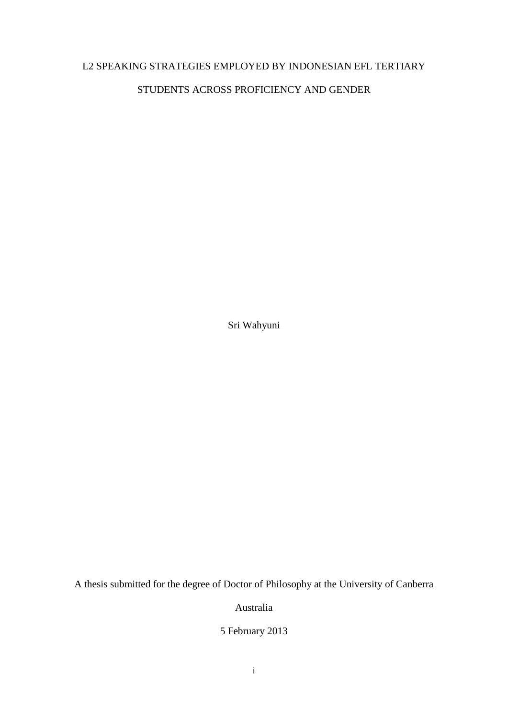### L2 SPEAKING STRATEGIES EMPLOYED BY INDONESIAN EFL TERTIARY

#### STUDENTS ACROSS PROFICIENCY AND GENDER

Sri Wahyuni

A thesis submitted for the degree of Doctor of Philosophy at the University of Canberra

Australia

5 February 2013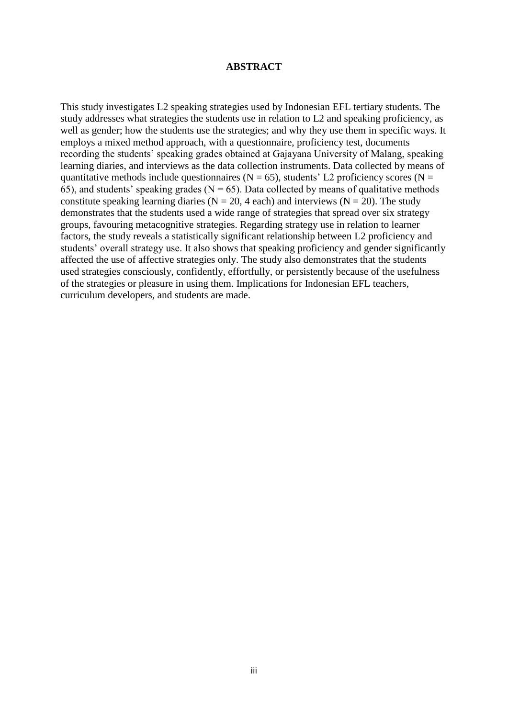#### **ABSTRACT**

This study investigates L2 speaking strategies used by Indonesian EFL tertiary students. The study addresses what strategies the students use in relation to L2 and speaking proficiency, as well as gender; how the students use the strategies; and why they use them in specific ways. It employs a mixed method approach, with a questionnaire, proficiency test, documents recording the students' speaking grades obtained at Gajayana University of Malang, speaking learning diaries, and interviews as the data collection instruments. Data collected by means of quantitative methods include questionnaires ( $N = 65$ ), students' L2 proficiency scores ( $N =$ 65), and students' speaking grades ( $N = 65$ ). Data collected by means of qualitative methods constitute speaking learning diaries ( $N = 20$ , 4 each) and interviews ( $N = 20$ ). The study demonstrates that the students used a wide range of strategies that spread over six strategy groups, favouring metacognitive strategies. Regarding strategy use in relation to learner factors, the study reveals a statistically significant relationship between L2 proficiency and students' overall strategy use. It also shows that speaking proficiency and gender significantly affected the use of affective strategies only. The study also demonstrates that the students used strategies consciously, confidently, effortfully, or persistently because of the usefulness of the strategies or pleasure in using them. Implications for Indonesian EFL teachers, curriculum developers, and students are made.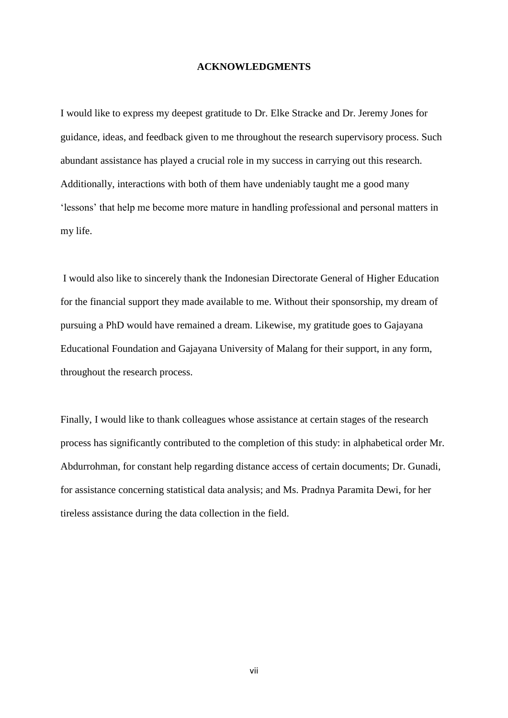#### **ACKNOWLEDGMENTS**

I would like to express my deepest gratitude to Dr. Elke Stracke and Dr. Jeremy Jones for guidance, ideas, and feedback given to me throughout the research supervisory process. Such abundant assistance has played a crucial role in my success in carrying out this research. Additionally, interactions with both of them have undeniably taught me a good many 'lessons' that help me become more mature in handling professional and personal matters in my life.

I would also like to sincerely thank the Indonesian Directorate General of Higher Education for the financial support they made available to me. Without their sponsorship, my dream of pursuing a PhD would have remained a dream. Likewise, my gratitude goes to Gajayana Educational Foundation and Gajayana University of Malang for their support, in any form, throughout the research process.

Finally, I would like to thank colleagues whose assistance at certain stages of the research process has significantly contributed to the completion of this study: in alphabetical order Mr. Abdurrohman, for constant help regarding distance access of certain documents; Dr. Gunadi, for assistance concerning statistical data analysis; and Ms. Pradnya Paramita Dewi, for her tireless assistance during the data collection in the field.

vii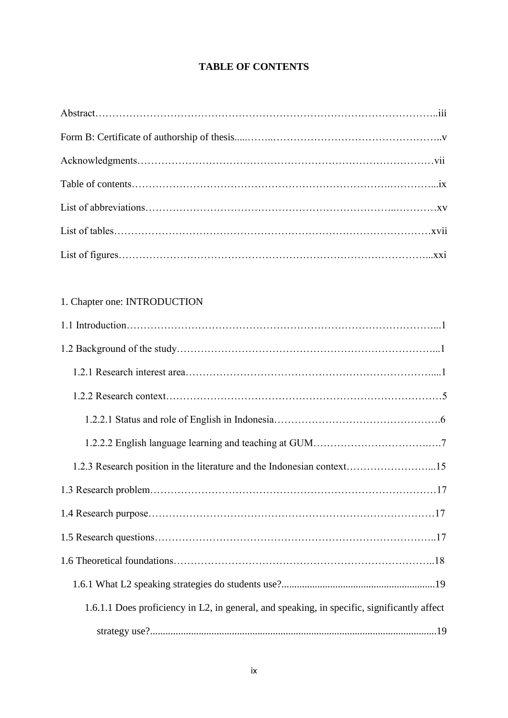### **TABLE OF CONTENTS**

### 1. Chapter one: INTRODUCTION

| 1.2.3 Research position in the literature and the Indonesian context15                      |
|---------------------------------------------------------------------------------------------|
|                                                                                             |
|                                                                                             |
|                                                                                             |
|                                                                                             |
|                                                                                             |
| 1.6.1.1 Does proficiency in L2, in general, and speaking, in specific, significantly affect |
|                                                                                             |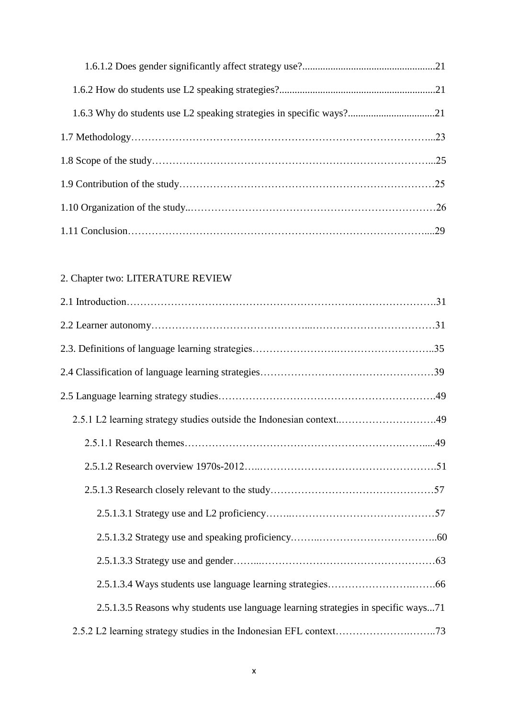# 2. Chapter two: LITERATURE REVIEW

| 2.5.1 L2 learning strategy studies outside the Indonesian context49                |  |
|------------------------------------------------------------------------------------|--|
|                                                                                    |  |
|                                                                                    |  |
|                                                                                    |  |
|                                                                                    |  |
|                                                                                    |  |
|                                                                                    |  |
|                                                                                    |  |
| 2.5.1.3.5 Reasons why students use language learning strategies in specific ways71 |  |
|                                                                                    |  |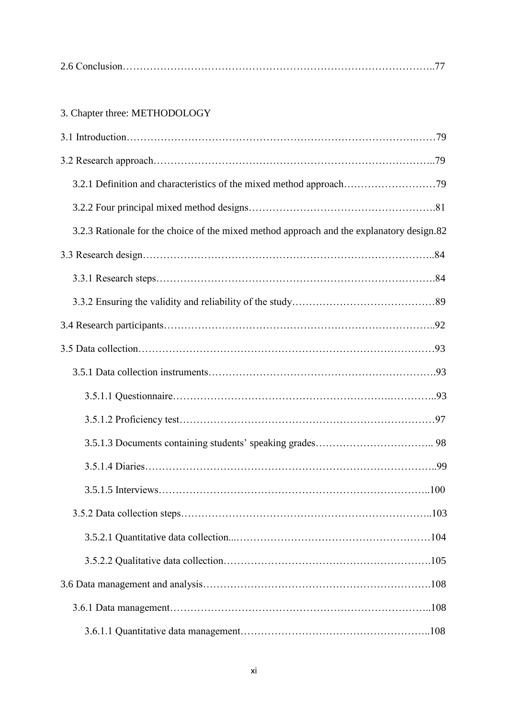|--|--|

# 3. Chapter three: METHODOLOGY

| 3.2.3 Rationale for the choice of the mixed method approach and the explanatory design.82 |  |
|-------------------------------------------------------------------------------------------|--|
|                                                                                           |  |
|                                                                                           |  |
|                                                                                           |  |
|                                                                                           |  |
|                                                                                           |  |
|                                                                                           |  |
|                                                                                           |  |
|                                                                                           |  |
|                                                                                           |  |
|                                                                                           |  |
|                                                                                           |  |
|                                                                                           |  |
|                                                                                           |  |
|                                                                                           |  |
|                                                                                           |  |
|                                                                                           |  |
|                                                                                           |  |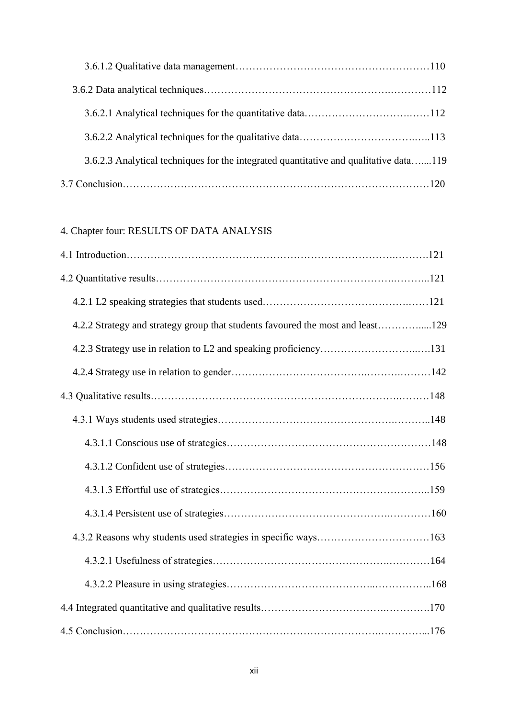| 3.6.2.3 Analytical techniques for the integrated quantitative and qualitative data119 |  |
|---------------------------------------------------------------------------------------|--|
|                                                                                       |  |

# 4. Chapter four: RESULTS OF DATA ANALYSIS

| 4.2.2 Strategy and strategy group that students favoured the most and least129 |  |
|--------------------------------------------------------------------------------|--|
| 4.2.3 Strategy use in relation to L2 and speaking proficiency131               |  |
|                                                                                |  |
|                                                                                |  |
|                                                                                |  |
|                                                                                |  |
|                                                                                |  |
|                                                                                |  |
|                                                                                |  |
|                                                                                |  |
|                                                                                |  |
|                                                                                |  |
|                                                                                |  |
|                                                                                |  |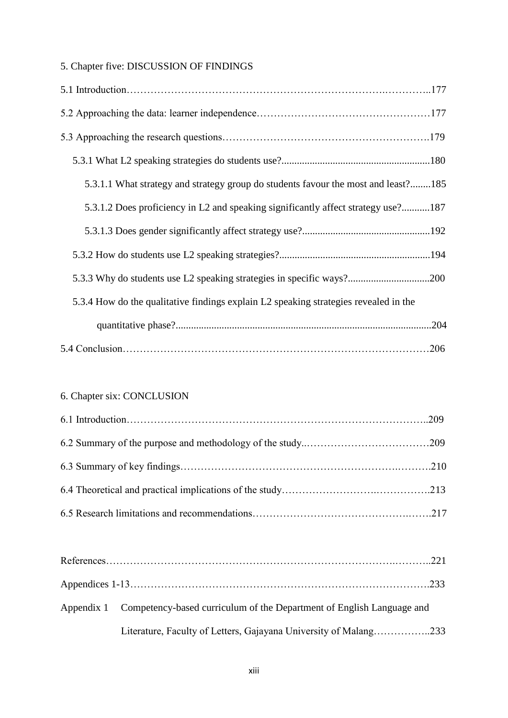## 5. Chapter five: DISCUSSION OF FINDINGS

| 5.3.1.1 What strategy and strategy group do students favour the most and least?185   |
|--------------------------------------------------------------------------------------|
| 5.3.1.2 Does proficiency in L2 and speaking significantly affect strategy use?187    |
|                                                                                      |
|                                                                                      |
|                                                                                      |
| 5.3.4 How do the qualitative findings explain L2 speaking strategies revealed in the |
|                                                                                      |
|                                                                                      |

### 6. Chapter six: CONCLUSION

| Appendix 1 Competency-based curriculum of the Department of English Language and |
|----------------------------------------------------------------------------------|
| Literature, Faculty of Letters, Gajayana University of Malang233                 |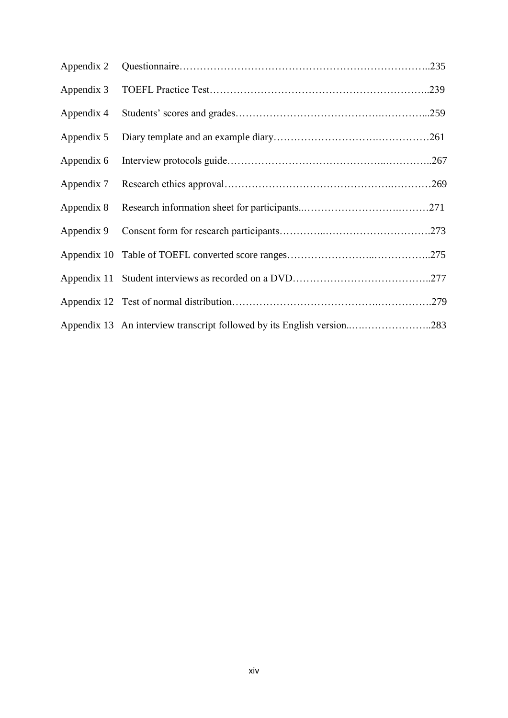| Appendix 2 |                                                                        |  |
|------------|------------------------------------------------------------------------|--|
| Appendix 3 |                                                                        |  |
| Appendix 4 |                                                                        |  |
| Appendix 5 |                                                                        |  |
| Appendix 6 |                                                                        |  |
| Appendix 7 |                                                                        |  |
| Appendix 8 |                                                                        |  |
| Appendix 9 |                                                                        |  |
|            |                                                                        |  |
|            |                                                                        |  |
|            |                                                                        |  |
|            | Appendix 13 An interview transcript followed by its English version283 |  |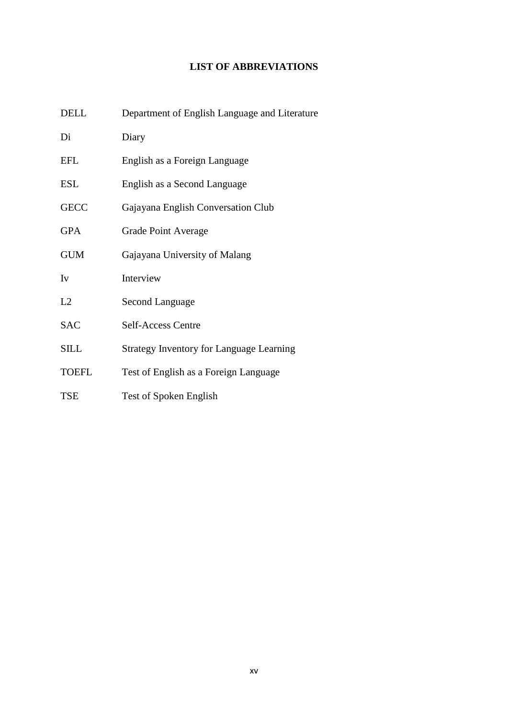### **LIST OF ABBREVIATIONS**

| <b>DELL</b>  | Department of English Language and Literature   |
|--------------|-------------------------------------------------|
| Di           | Diary                                           |
| <b>EFL</b>   | English as a Foreign Language                   |
| <b>ESL</b>   | English as a Second Language                    |
| <b>GECC</b>  | Gajayana English Conversation Club              |
| <b>GPA</b>   | Grade Point Average                             |
| <b>GUM</b>   | Gajayana University of Malang                   |
| Iv           | Interview                                       |
| L2           | Second Language                                 |
| <b>SAC</b>   | Self-Access Centre                              |
| <b>SILL</b>  | <b>Strategy Inventory for Language Learning</b> |
| <b>TOEFL</b> | Test of English as a Foreign Language           |
| <b>TSE</b>   | Test of Spoken English                          |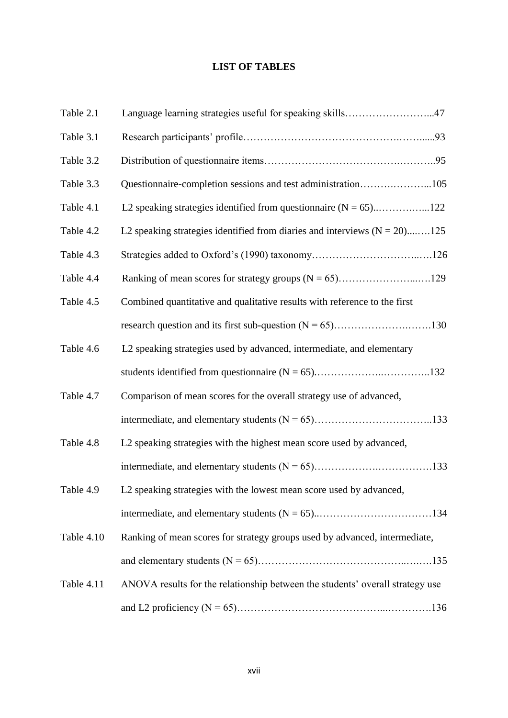### **LIST OF TABLES**

| Table 2.1  | Language learning strategies useful for speaking skills47                     |  |
|------------|-------------------------------------------------------------------------------|--|
| Table 3.1  |                                                                               |  |
| Table 3.2  |                                                                               |  |
| Table 3.3  | Questionnaire-completion sessions and test administration105                  |  |
| Table 4.1  |                                                                               |  |
| Table 4.2  | L2 speaking strategies identified from diaries and interviews $(N = 20)$ 125  |  |
| Table 4.3  |                                                                               |  |
| Table 4.4  |                                                                               |  |
| Table 4.5  | Combined quantitative and qualitative results with reference to the first     |  |
|            |                                                                               |  |
| Table 4.6  | L2 speaking strategies used by advanced, intermediate, and elementary         |  |
|            |                                                                               |  |
| Table 4.7  | Comparison of mean scores for the overall strategy use of advanced,           |  |
|            |                                                                               |  |
| Table 4.8  | L2 speaking strategies with the highest mean score used by advanced,          |  |
|            |                                                                               |  |
| Table 4.9  | L2 speaking strategies with the lowest mean score used by advanced,           |  |
|            |                                                                               |  |
| Table 4.10 | Ranking of mean scores for strategy groups used by advanced, intermediate,    |  |
|            |                                                                               |  |
| Table 4.11 | ANOVA results for the relationship between the students' overall strategy use |  |
|            |                                                                               |  |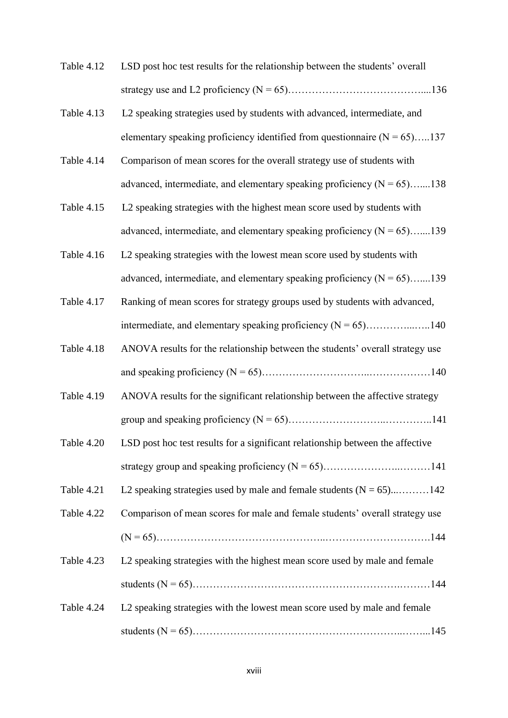- Table 4.12 LSD post hoc test results for the relationship between the students' overall strategy use and L2 proficiency (N = 65)…………………………………....136
- Table 4.13 L2 speaking strategies used by students with advanced, intermediate, and elementary speaking proficiency identified from questionnaire  $(N = 65)$ .....137
- Table 4.14 Comparison of mean scores for the overall strategy use of students with advanced, intermediate, and elementary speaking proficiency  $(N = 65)$ …....138
- Table 4.15 L2 speaking strategies with the highest mean score used by students with advanced, intermediate, and elementary speaking proficiency  $(N = 65)$ …....139
- Table 4.16 L2 speaking strategies with the lowest mean score used by students with advanced, intermediate, and elementary speaking proficiency  $(N = 65)$ .......139
- Table 4.17 Ranking of mean scores for strategy groups used by students with advanced, intermediate, and elementary speaking proficiency (N = 65)…………...…..140
- Table 4.18 ANOVA results for the relationship between the students' overall strategy use and speaking proficiency (N = 65)…………………………..………………140
- Table 4.19 ANOVA results for the significant relationship between the affective strategy group and speaking proficiency (N = 65)………………………..…………..141
- Table 4.20 LSD post hoc test results for a significant relationship between the affective strategy group and speaking proficiency (N = 65)…………………..………141
- Table 4.21 L2 speaking strategies used by male and female students  $(N = 65)$ .............142
- Table 4.22 Comparison of mean scores for male and female students' overall strategy use (N = 65)…………………………………………..………………………….144
- Table 4.23 L2 speaking strategies with the highest mean score used by male and female students (N = 65)…………………………………………………….………144
- Table 4.24 L2 speaking strategies with the lowest mean score used by male and female students (N = 65)……………………………………………………..……...145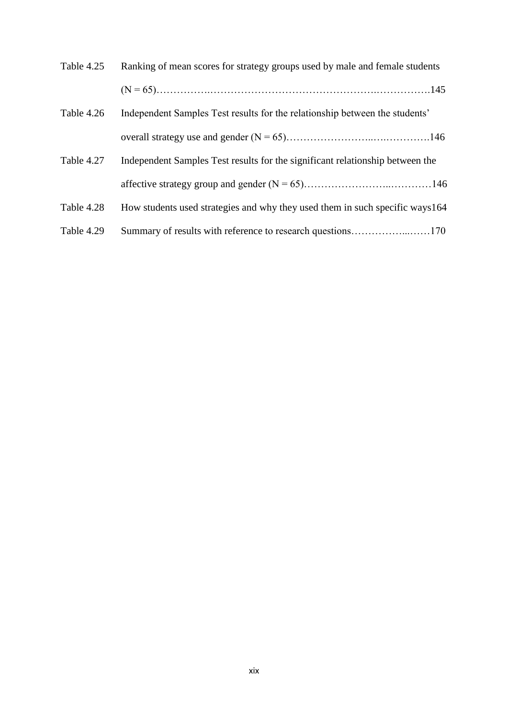| Table 4.25 | Ranking of mean scores for strategy groups used by male and female students   |  |
|------------|-------------------------------------------------------------------------------|--|
|            |                                                                               |  |
| Table 4.26 | Independent Samples Test results for the relationship between the students'   |  |
|            |                                                                               |  |
| Table 4.27 | Independent Samples Test results for the significant relationship between the |  |
|            |                                                                               |  |
| Table 4.28 | How students used strategies and why they used them in such specific ways 164 |  |
| Table 4.29 |                                                                               |  |